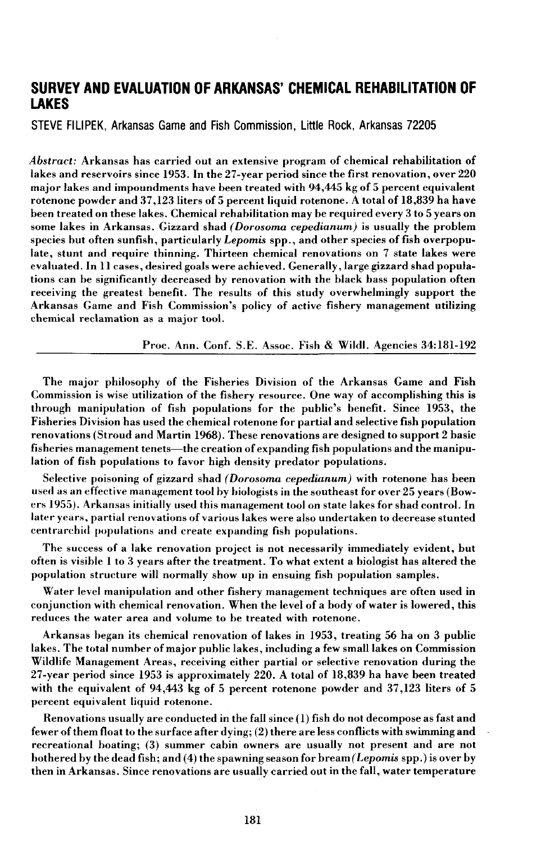# **SURVEY AND EVALUATION OF ARKANSAS' CHEMICAL REHABILITATION OF LAKES**

STEVE FILIPEK, Arkansas Game and Fish Commission, Little Rock, Arkansas 72205

*Abstract:* Arkansas has carried out an extensive program of chemical rehabilitation of lakes and reservoirs since 1953. In the 27-year period since the first renovation, over 220 major lakes and impoundments have been treated with 94,445 kg of 5 percent equivalent rotenone powder and 37,123 liters of 5 percent liquid rotenone. A total of 18,839 ha have been treated on these lakes. Chemical rehabilitation may be required every 3 to 5 years on some lakes in Arkansas. Gizzard shad *(Dorosoma cepedianum)* is usually the problem species but often sunfish, particularly *Lepomis* spp., and other species of fish overpopulate, stunt and require thinning. Thirteen chemical renovations on 7 state lakes were evaluated. In II cases, desired goals were achieved. Generally, large gizzard shad populations can be significantly decreased by renovation with the black bass population often receiving the greatest benefit. The results of this study overwhelmingly support the Arkansas Game and Fish Commission's policy of active fishery management utilizing chemical reclamation as a major tool.

Proc. Ann. Conf. S.E. Assoc. Fish & Wildl. Agencies 34:181-192

The major philosophy of the Fisheries Division of the Arkansas Game and Fish Commission is wise utilization of the fishery resource. One way of accomplishing this is through manipulation of fish populations for the public's benefit. Since 1953, the Fisheries Division has used the chemical rotenone for partial and selective fish population renovations (Stroud and Martin 1968). These renovations are designed to support 2 basic fisheries management tenets—the creation of expanding fish populations and the manipulation of fish populations to favor high density predator populations.

Selective poisoning of gizzard shad *(Dorosoma cepedianum)* with rotenone has been used as an effective management tool by hiologists in the southeast for over 25 years (Bowers 1955). Arkansas initially used this management tool on state lakes for shad control. In later years, partial renovations of various lakes were also undertaken to decrease stunted centrarchid populations and create expanding fish populations.

The success of a lake renovation project is not necessarily immediately evident, but often is visible I to 3 years after the treatment. To what extent a biologist has altered the population structure will normally show up in ensuing fish population samples.

Water level manipulation and other fishery management techniques are often used in conjunction with chemical renovation. When the level of a body of water is lowered, this reduces the water area and volume to be treated with rotenone.

Arkansas began its chemical renovation of lakes in 1953, treating 56 ha on 3 public lakes. The total number of major public lakes, including a few small lakes on Commission Wildlife Management Areas, receiving either partial or selective renovation during the 27-year period since 1953 is approximately 220. A total of 18,839 ha have been treated with the equivalent of 94,443 kg of 5 percent rotenone powder and 37,123 liters of 5 percent equivalent liquid rotenone.

Renovations usually are conducted in the fall since  $(1)$  fish do not decompose as fast and fewer ofthem float to the surface after dying; (2) there are less conflicts with swimming and recreational boating; (3) summer cabin owners are usually not present and are not bothered by the dead fish; and (4) the spawning season for bream *(Lepomis* spp.) is over by then in Arkansas. Since renovations are usually carried out in the fall, water temperature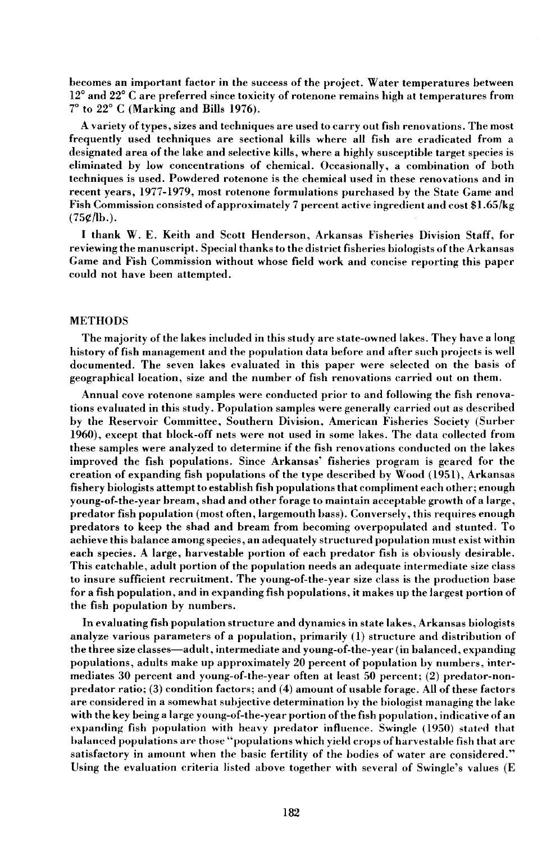becomes an important factor in the success of the project. Water temperatures between 12° and 22° C are preferred since toxicity of rotenone remains high at temperatures from 7° to 22° C (Marking and Bills 1976).

A variety oftypes, sizes and techniques are used to carry out fish renovations. The most frequently used techniques are sectional kills where all fish are eradicated from a designated area of the lake and selective kills, where a highly susceptible target species is eliminated by low concentrations of chemical. Occasionally, a combination of both techniques is used. Powdered rotenone is the chemical used in these renovations and in recent years, 1977-1979, most rotenone formulations purchased by the State Game and Fish Commission consisted of approximately 7 percent active ingredient and cost \$1.65/kg  $(75¢/lb.).$ 

I thank W. E. Keith and Scott Henderson, Arkansas Fisheries Division Staff, for reviewing the manuscript. Special thanks to the district fisheries biologists ofthe Arkansas Game and Fish Commission without whose field work and concise reporting this paper could not have been attempted.

## METHODS

The majority of the lakes included in this study are state-owned lakes. They have a long history of fish management and the population data before and after such projects is well documented. The seven lakes evaluated in this paper were selected on the basis of geographical location, size and the number of fish renovations carried out on them.

Annual cove rotenone samples were conducted prior to and following the fish renovations evaluated in this study. Population samples were generally carried out as described by the Reservoir Committee, Southern Division, American Fisheries Society (Surber 1960), except that block-off nets were not used in some lakes. The data collected from these samples were analyzed to determine if the fish renovations conducted on the lakes improved the fish populations. Since Arkansas' fisheries program is geared for the creation of expanding fish populations of the type described hy Wood (1951), Arkansas fishery biologists attempt to establish fish populations that compliment each other; enough young-of-the-year bream, shad and other forage to maintain acceptable growth of a large, predator fish population (most often, largemouth bass). Conversely, this requires enough predators to keep the shad and bream from becoming overpopulated and stunted. To achieve this balance among species, an adequately structured population must exist within each species. A large, harvestable portion of each predator fish is obviously desirable. This catchable, adult portion of the population needs an adequate intermediate size class to insure sufficient recruitment. The young-of-the-year size class is the production base for a fish population, and in expanding fish populations, it makes up the largest portion of the fish population by numbers.

**In** evaluating fish population structure and dynamics in state lakes, Arkansas biologists analyze various parameters of a population, primarily (1) structure and distribution of the three size classes-adult, intermediate and young-of-the-year (in balanced, expanding populations, adults make up approximately 20 percent of population by numbers, intermediates 30 percent and young-of-the-year often at least 50 percent; (2) predator-nonpredator ratio; (3) condition factors; and (4) amount of usable forage. All of these factors are considered in a somewhat subjective determination by the biologist managing the lake with the key being a large young-of-the-year portion of the fish population, indicative of an expanding fish population with heavy predator influence. Swingle (1950) stated that halanced populations are those "populations which yield crops of harvestable fish that are satisfactory in amount when the basic fertility of the bodies of water are considered." Using the evaluation criteria listed above together with several of Swingle's values (E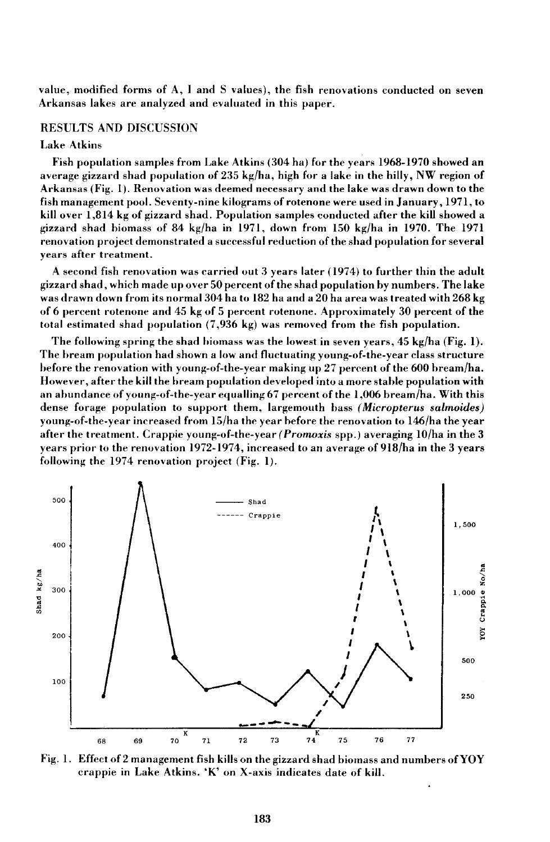value, modified forms of A, I and S values), the fish renovations conducted on seven Arkansas lakes are analyzed and evaluated in this paper.

## RESULTS AND DISCUSSION

### Lake Atkins

Fish population samples from Lake Atkins (304 hal for the years 1968-1970 showed an average gizzard shad population of 235 kg/ha, high for a lake in the hilly, NW region of Arkansas (Fig. 1). Renovation was deemed necessary and the lake was drawn down to the fish management pool. Seventy-nine kilograms of rotenone were used in January, 1971, to kill over 1,814 kg of gizzard shad. Population samples conducted after the kill showed a gizzard shad hiomass of 84 kg/ha in 1971, down from 150 kg/ha in 1970. The 1971 renovation project demonstrated a successful reduetion ofthe shad population for several years after treatment.

A second fish renovation was carried out 3 years later (1974) to further thin the adult gizzard shad, which made up over 50 percent ofthe shad population hy numbers. The lake was drawn down from its normal 304 ha to 182 ha and a 20 ha area was treated with 268 kg of 6 percent rotenone and 45 kg of 5 percent rotenone. Approximately 30 percent of the total estimated shad population (7,936 kg) was removed from the fish population.

The following spring the shad hiomass was the lowest in seven years,  $45 \text{ kg/ha}$  (Fig. 1). The hream population had shown a low and fluctuating young-of-the-year class structure hefore the renovation with young-of-the-year making up 27 percent of the 600 bream/ha. However, after the kill the hream population developed into a more stahle population with an abundance of young-of-the-year equalling  $67$  percent of the 1,006 bream/ha. With this dense forage population to support them, largemouth bass *(Micropterus salmoides)* young-of-the-year increased from 15/ha the year before the renovation to 146/ha the year after the treatment. Crappie young-of-the-year *(Promoxis* spp.) averaging lO/ha in the 3 years prior to the renovation 1972-1974, increased to an average of 918/ha in the 3 years following the  $1974$  renovation project (Fig. 1).



Fig. 1. Effect of 2 management fish kills on the gizzard shad biomass and numbers of  $\mathbf{YOY}$ crappie in Lake Atkins. 'K' on X-axis indicates date of kill.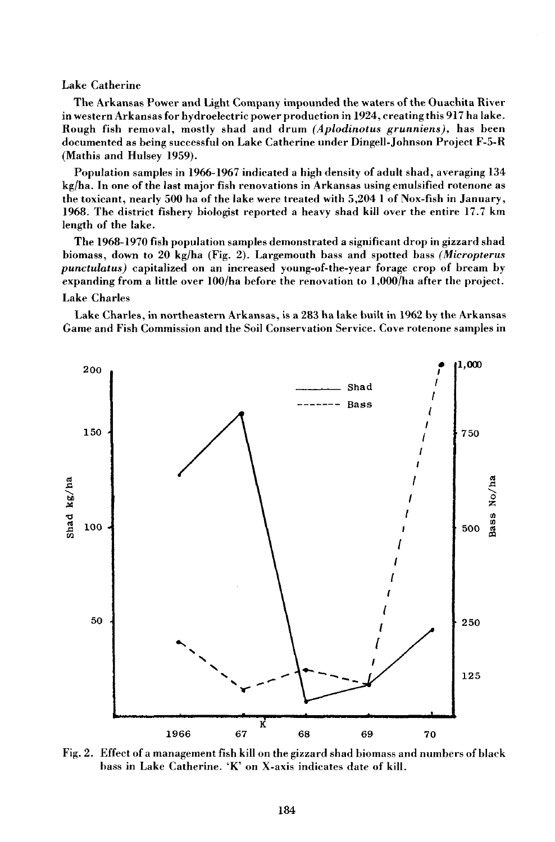# Lake Catherine

The Arkansas Power and Light Company impounded the waters of the Ouachita River in western Arkansas for hydroelectric power production in 1924, creating this 917 ha lake. Rough fish removal, mostly shad and drum *(Aplodinotus grunniens),* has been documented as being successful on Lake Catherine under Dingell-Johnson Project F-5-R (Mathis and Hulsey 1959).

Population samples in 1966-1967 indicated a high density of adult shad, averaging 134 kg/ha. In one of the last major fish renovations in Arkansas using emulsified rotenone as the toxicant, nearly 500 ha of the lake were treated with 5,204 1 of Nox-fish in January, 1968. The district fishery biologist reported a heavy shad kill over the entire 17.7 km length of the lake.

The 1968-1970 fish population samples demonstrated a significant drop in gizzard shad biomass, down to 20 kg/ha (Fig. 2). Largemouth bass and spotted bass *(Micropterus punctulatus)* capitalized on an increased young-of-the-year forage crop of bream by expanding from a little over 100/ha before the renovation to 1,000/ha after the project. Lake Charles

Lake Charles, in northeastern Arkansas, is a 283 ha lake built in 1962 by the Arkansas Game and Fish Commission and the Soil Conservation Service. Cove rotenone samples in



Fig. 2. Effect of a management fish kill on the gizzard shad biomass and numbers of black bass in Lake Catherine. 'K' on X-axis indicates date of kill.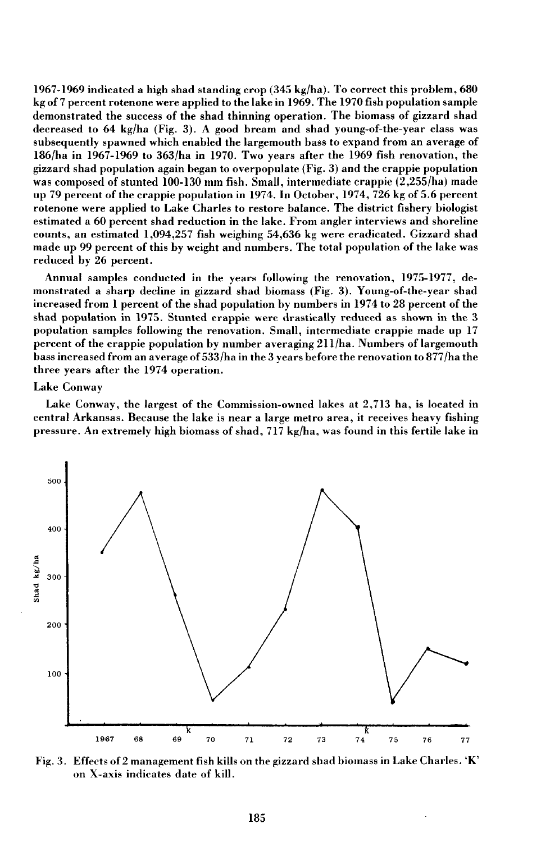1967-1969 indicated a high shad standing crop  $(345 \text{ kg/ha})$ . To correct this problem, 680 kg of 7 percent rotenone were applied to the lake in 1969. The 1970 fish population sample demonstrated the success of the shad thinning operation. The biomass of gizzard shad decreased to 64 kg/ha (Fig. 3). A good bream and shad young-of-the-year class was subsequently spawned which enabled the largemouth bass to expand from an average of 186/ha in 1967-1969 to 363/ha in 1970. Two years after the 1969 fish renovation, the gizzard shad population again began to overpopulate (Fig. 3) and the crappie population was composed of stunted 100-130 mm fish. Small, intermediate crappie (2,255/ha) made up 79 percent of the crappie population in 1974. In October, 1974,726 kg of 5.6 percent rotenone were applied to Lake Charles to restore balance. The district fishery biologist estimated a 60 percent shad reduction in the lake. From angler interviews and shoreline counts, an estimated 1,094,257 fish weighing 54,636 kg were eradicated. Gizzard shad made up 99 percent of this by weight and numbers. The total population of the lake was reduced by 26 percent.

Annual samples conducted in the years following the renovation, 1975-1977, demonstrated a sharp decline in gizzard shad biomass (Fig. 3). Young-of-the-year shad increased from I percent of the shad population by numbers in 1974 to 28 percent of the shad population in 1975. Stunted crappie were drastically reduced as shown in the 3 population samples following the renovation. Small, intermediate crappie made up 17 percent of the crappie population by number averaging 2U/ha. Numbers of largemouth bass increased from an average of 533/ha in the 3 years before the renovation to 877/ha the three years after the 1974 operation.

### Lake Conway

Lake Conway, the largest of the Commission-owned lakes at 2,713 ha, is located in central Arkansas. Because the lake is near a large metro area, it receives heavy fishing pressure. An extremely high biomass of shad, 717 kg/ha, was found in this fertile lake in



Fig. 3. Effects of 2 management fish kills on the gizzard shad biomass in Lake Charles. 'K' on X-axis indicates date of kill.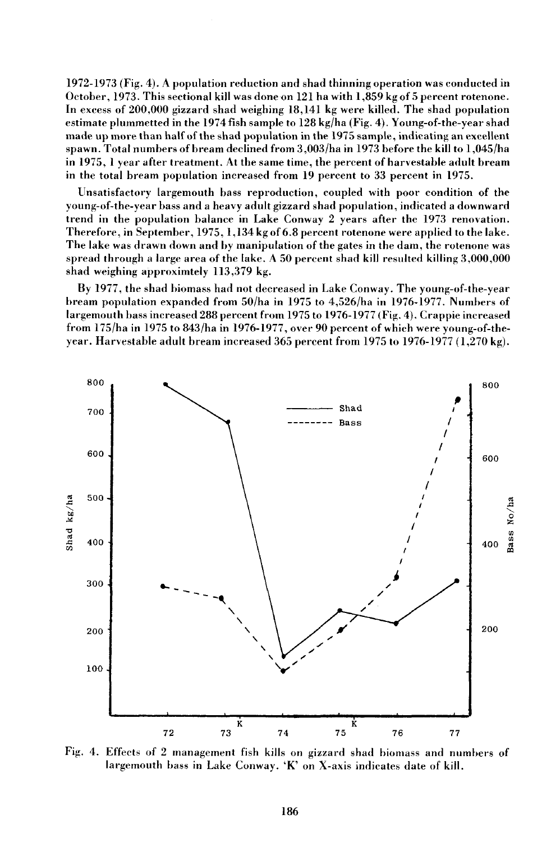1972-1973 (Fig. 4). A population reduction and shad thinning operation was conducted in October, 1973. This sectional kill was done on 121 ha with 1,859 kg of 5 percent rotenone. **In** excess of 200,000 gizzard shad weighing 18,141 kg were killed. The shad population estimate plummetted in the 1974 fish sample to 128 kg/ha (Fig. 4). Young-of-the-year shad made up more than half of the shad population in the 1975 sample, indicating an excellent spawn. Total numbers of bream declined from 3,003/ha in 1973 before the kill to 1,045/ha in 1975, 1 year after treatment. At the same time, the percent of harvestable adult bream in the total bream population increased from 19 percent to 33 percent in 1975.

Unsatisfactory largemouth bass reproduction, coupled with poor condition of the young-of-the-year bass and a heavy adult gizzard shad population, indicated a downward trend in the population balance in Lake Conway 2 years after the 1973 renovation. Therefore, in September, 1975, 1,134 kg of 6.8 percent rotenone were applied to the lake. The lake was drawn down and by manipulation of the gates in the dam, the rotenone was spread through a large area of the lake. A 50 percent shad kill resulted killing 3,000,000 shad weighing approximtely 113,379 kg.

By 1977, the shad biomass had not decreased in Lake Conway. The young-of-the-year bream population expanded from 50/ha in 1975 to 4,526/ha in 1976-1977. Numbers of largemouth bass increased 288 percent from 1975 to 1976-1977 (Fig. 4). Crappie increased from 175/ha in 1975 to 843/ha in 1976-1977, over 90 percent of which were young-of-theyear. Harvestable adult bream increased 365 percent from 1975 to 1976-1977 (1,270 kg).



Fig. 4. Effects of 2 management fish kills on gizzard shad biomass and numbers of largemouth bass in Lake Conway.  $K'$  on X-axis indicates date of kill.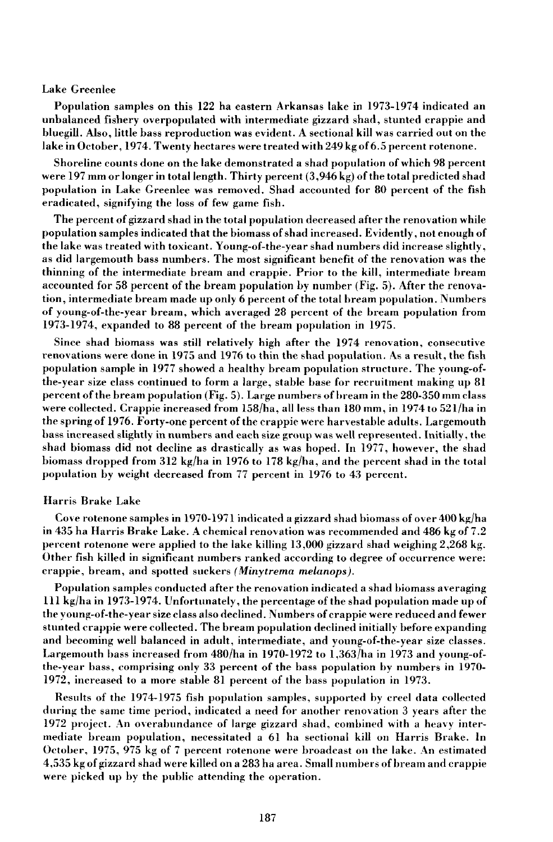#### Lake Greenlee

Population samples on this 122 ha eastern Arkansas lake in 1973-1974 indicated an unbalanced fisbery overpopulated with intermediate gizzard shad, stunted crappie and bluegill. Also, little bass reproduction was evident. A sectional kill was carried out on the lake in October, 1974. Twenty hectares were treated with 249 kg of6.5 percent rotenone.

Shoreline counts done on the lake demonstrated a shad population of which 98 percent were 197 mm or longer in total length. Thirty percent (3,946 kg) of the total predicted shad population in Lake Greenlee was removed. Shad accounted for 80 percent of the fish eradicated, signifying the loss of few game fish.

The percent of gizzard shad in the total population decreased after the renovation while population samples indicated that the biomass ofshad increased. Evidently, not enough of the lake was treated with toxicant. Young-of-the-year shad numbers did increase slightly, as did largemouth bass numbers. The most significant benefit of the renovation was the thinning of the intermediate bream and crappie. Prior to the kill, intermediate bream accounted for 58 percent of the bream population by number (Fig. 5). After the renovation, intermediate bream made up only 6 percent of the total bream population. Numbers of young-of-the-year bream, wbich averaged 28 percent of the bream population from 1973-1974, expanded to 88 percent of the bream population in 1975.

Since shad biomass was still relatively high after the 1974 renovation, consecutive renovations were done in 1975 and 1976 to thin the shad population. As a result, the fish population sample in 1977 showed a healthy bream population structure. The young-ofthe-year size class continued to form a large, stable base for recruitment making up 81 percent of the bream population (Fig. 5). Large numbers of bream in the 280-350 mm class were collected. Crappie increased from 158/ha, all less than 180 mm, in 1974 to 521/ha in the spring of 1976. Forty-one percent of the crappie were harvestable adults. Largemouth bass increased slightly in numbers and each size group was well represented. Initially, the shad biomass did not decline as drastically as was hoped. In 1977, however, the shad biomass dropped from 312 kg/ha in 1976 to 178 kg/ha, and the percent shad in the total population by weigbt decreased from 77 percent in 1976 to 43 percent.

## Harris Brake Lake

Cove rotenone samples in 1970-1971 indicated a gizzard shad biomass of over 400 kg/ha in 435 ha Harris Brake Lake. A chemical renovation was recommended and 486 kg of 7.2 percent rotenone were applied to the lake killing 13,000 gizzard shad weighing 2,268 kg. Other fish killed in significant numbers ranked according to degree of occurrence were: crappie, bream, and spotted suckers *(Minytrema melanops).*

Population samples conducted after the renovation indicated a shad biomass averaging III kg/ha in 1973-1974. Unfortunately, the percentage of the shad population made up of the young-of-the-year size class also declined. Numbers of crappie were reduced and fewer stunted crappie were collected. The bream population declined initially before expanding and becoming well balanced in adult, intermediate, and young-of-the-year size classes. Largemouth bass increased from  $480/ha$  in 1970-1972 to 1.363/ha in 1973 and young-ofthe-year bass, comprising only 33 percent of the bass population by numbers in 1970- 1972, increased to a more stable 81 percent of the bass population in 1973.

Results of the 1974-1975 fish population samples, supported by creel data collected during the same time period, indicated a need for another renovation 3 years after the 1972 project. An overabundance of large gizzard shad, combined with a heavy intermediate bream population, necessitated a 61 ha sectional kill on Harris Brake. In October, 1975, 975 kg of 7 percent rotenone were broadcast on the lake. An estimated 4,535 kg of gizzard shad were killed on a 283 ha area. Small numbers of bream and crappie were picked up by the public attending the operation.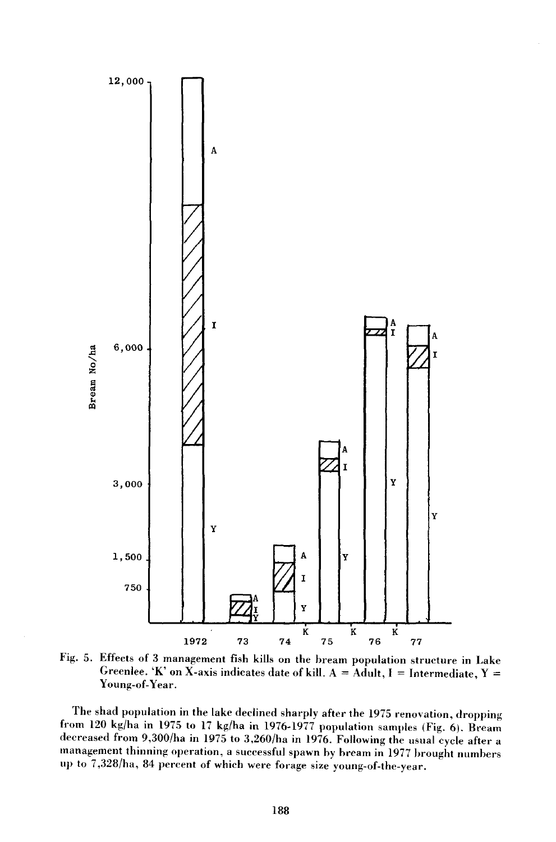

Fig. 5. Effects of 3 management fish kills on the bream population structure in Lake Greenlee. 'K' on X-axis indicates date of kill. A = Adult, I = Intermediate, Y = Young-of-Year.

The shad population in the lake declined sharply after the 1975 renovation, dropping from 120 kg/ha in 1975 to 17 kg/ha in 1976-1977 population samples (Fig. 6). Bream decreased from 9,300/ha in 1975 to 3,260/ha in 1976. Following the usual cycle after a management thinning operation, a successful spawn by bream in 1977 hrought numbers up to 7,328/ha, 84 percent of which were forage size young-of-the-year.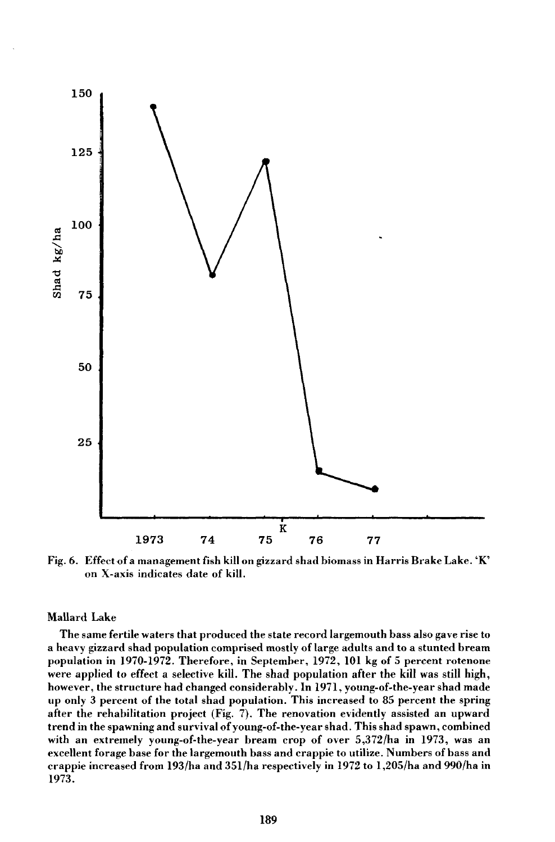

Fig.6. Effect of a management fish kill on gizzard shad biomass in Harris Brake Lake. 'K' on X-axis indicates date of kill.

# Mallard Lake

The same fertile waters that produced the state record largemouth bass also gave rise to a heavy gizzard shad population comprised mostly oflarge adults and to a stunted bream population in 1970-1972. Therefore, in September, 1972, 101 kg of 5 percent rotenone were applied to effect a selective kill. The shad population after the kill was still high, however, the structure had changed considerably. In 1971, young-of-the-year shad made up only 3 percent of the total shad population. This increased to 85 percent the spring after the rehabilitation project (Fig. 7). The renovation evidently assisted an upward trend in the spawning and survival ofyoung-of-the-year shad. This shad spawn, combined with an extremely young-of-the-year bream crop of over 5,372/ha in 1973, was an excellent forage base for the largemouth bass and crappie to utilize. Numbers of bass and crappie increased from 193/ha and 351/ha respectively in 1972 to 1,205/ha and 990/ha in 1973.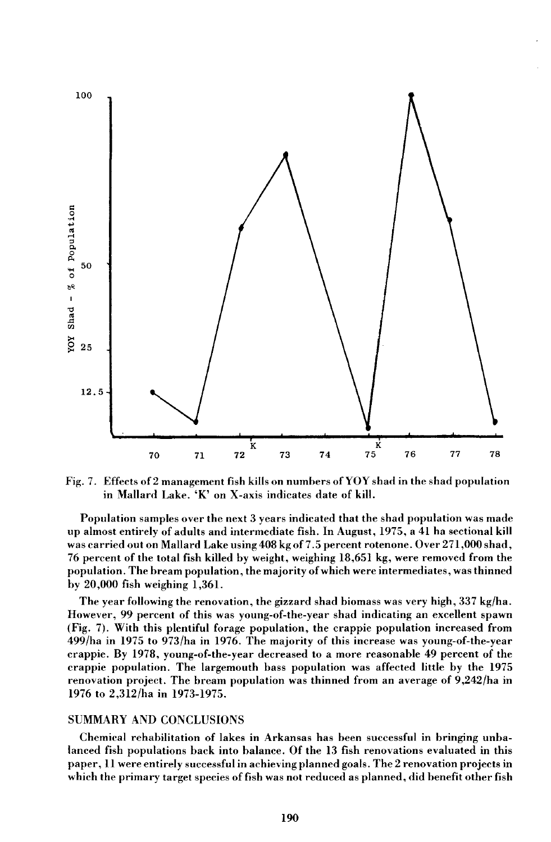

Fig. 7. Effects of 2 management fish kills on numbers of YOY shad in the shad population in Mallard Lake. 'K' on X-axis indicates date of kill.

Population samples over the next 3 years indicated that the shad population was made up almost entirely of adults and intermediate fish. **In** August, 1975, a 41 ha sectional kill was carried out on Mallard Lake using 408 kg of 7.5 percent rotenone. Over 271,000 shad, 76 percent of the total fish killed by weight, weighing 18,651 kg, were removed from the population. The bream population, the majority of which were intermediates, was thinned by 20,000 fish weighing 1,361.

The year following the renovation, the gizzard shad biomass was very high, 337 kg/ha. However, 99 percent of this was young-of-the-year shad indicating an excellent spawn (Fig. 7). With this plentiful forage population, the crappie population increased from 499/ha in 1975 to 973/ha in 1976. The majority of this increase was young-of-the-year crappie. By 1978, young-of-the-year decreased to a more reasonable 49 percent of the crappie population. The largemouth bass population was affected little by the 1975 renovation project. The bream population was thinned from an average of 9,242/ha in 1976 to 2,312/ha in 1973-1975.

## SUMMARY AND CONCLUSIONS

Chemical rehabilitation of lakes in Arkansas has been successful in bringing unbalanced fish populations back into balance. Of the 13 fish renovations evaluated in this paper, 11 were entirely successful in achieving planned goals. The 2 renovation projects in which the primary target species of fish was not reduced as planned, did benefit other fish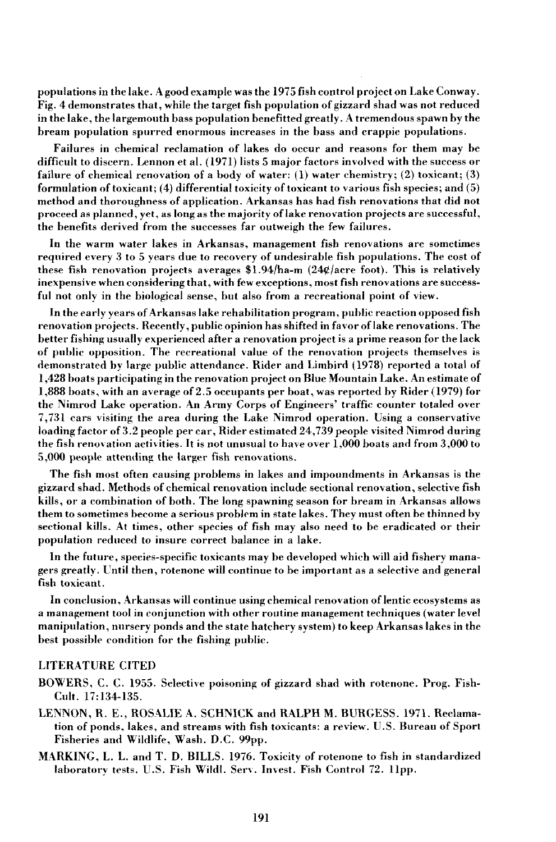populations in the lake. A good example was the 1975 fish control project on Lake Conway. Fig. 4 demonstrates that, while the target fish population of gizzard shad was not reduced in the lake, the largemouth bass population benefitted greatly. A tremendous spawn by the bream population spurred enormous increases in the bass and crappie populations.

Failures in chemical reclamation of lakes do occur and reasons for them may be difficult to discern. Lennon et al. (1971) lists 5 major factors involved with the success or failure of chemical renovation of a body of water:  $(1)$  water chemistry;  $(2)$  toxicant;  $(3)$ formulation of toxicant; (4) differential toxicity of toxicant to various fish species; and (5) method and thoroughness of application. Arkansas has had fish renovations that did not proceed as planned, yet, as long as the majority oflake renovation projects are successful, the benefits derived from the successes far outweigh the few failures.

In the warm water lakes in Arkansas, management fish renovations are sometimes required every 3 to 5 years due to recovery of undesirable fish populations. The cost of these fish renovation projects averages  $$1.94/ha-m$  (24¢/acre foot). This is relatively inexpensive when considering that, with few exceptions, most fish renovations are successful not only in the biological sense, but also from a recreational point of view.

In the early years of Arkansas lake rehabilitation program, public reaction opposed fish renovation projects. Recently, public opinion has shifted in favor oflake renovations. The better fishing usually experienced after a renovation project is a prime reason for the lack of public opposition. The recreational value of the renovation projects themselves is demonstrated by large public attendance. Rider and Limbird (1978) reported a total of 1,428 boats participating in the renovation project on Blue Mountain Lake. An estimate of 1,888 boats, with an average of2.5 occupants per boat, was reported by Rider (1979) for the Nimrod Lake operation. An Army Corps of Engineers' traffic counter totaled over 7,731 cars visiting the area during the Lake Nimrod operation. Using a conservative loading factor of 3.2 people per car, Rider estimated 24,739 people visited Nimrod during the fish renovation activities. It is not unusual to have over  $1,000$  boats and from 3,000 to 5,000 people attending the larger fish renovations.

The fish most often causing problems in lakes and impoundments in Arkansas is the gizzard shad. Methods of chemical renovation include sectional renovation, selective fish kills, or a combination of both. The long spawning season for bream in Arkansas allows them to sometimes become a serious problem in state lakes. They must often be thinned by sectional kills. At times, other species of fish may also need to be eradicated or their population reduced to insure correct balance in a lake.

In the future, species-specific toxicants may be developed which will aid fishery managers greatly. Until then, rotenone will continue to be important as a selective and general fish toxicant.

In conclusion, Arkansas will continue using chemical renovation of lentic ecosystems as a management tool in conjunction with other routine management techniques (water level manipulation, nursery ponds and the state hatchery system) to keep Arkansas lakes in the best possible condition for the fishing public.

## LITERATURE CITED

- BOWERS, C. C. 1955. Selective poisoning of gizzard shad with rotenone. Prog. Fish-Cult. 17:134-135.
- LENNON, R. E., ROSALIE A. SCHNICK and RALPH M. BURGESS. 1971. Reclamation of ponds, lakes, and streams with fish toxicants: a review. U.S. Bureau of Sport Fisheries and Wildlife, Wash. D.C. 99pp.
- MARKING, L. L. and T. D. BILLS. 1976. Toxicity of rotenone to fish in standardized laboratory tests. U.S. Fish Wildl. Serv. Invest. Fish Control 72. 11pp.